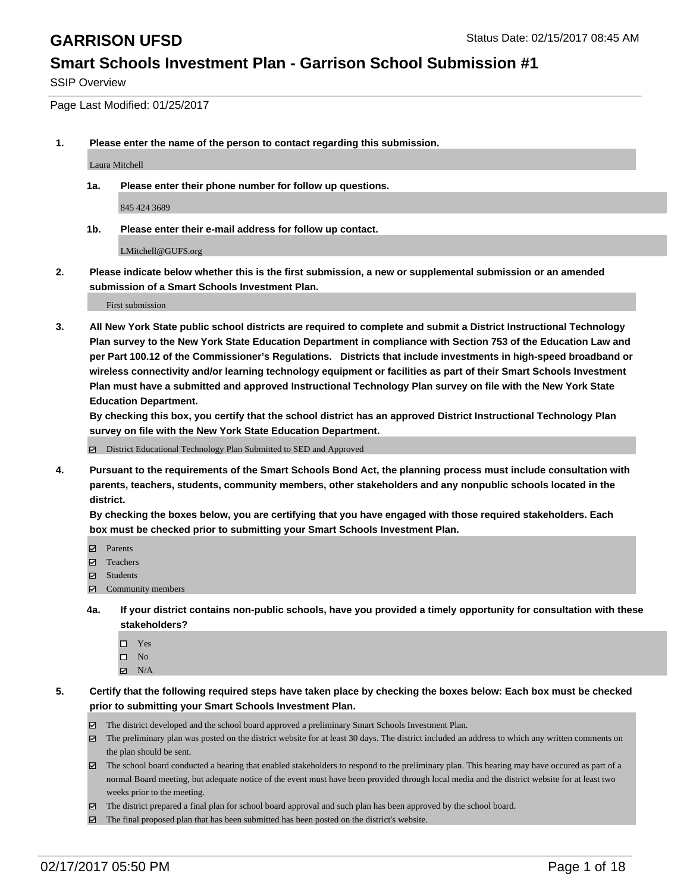SSIP Overview

Page Last Modified: 01/25/2017

**1. Please enter the name of the person to contact regarding this submission.**

Laura Mitchell

**1a. Please enter their phone number for follow up questions.**

845 424 3689

**1b. Please enter their e-mail address for follow up contact.**

LMitchell@GUFS.org

**2. Please indicate below whether this is the first submission, a new or supplemental submission or an amended submission of a Smart Schools Investment Plan.**

First submission

**3. All New York State public school districts are required to complete and submit a District Instructional Technology Plan survey to the New York State Education Department in compliance with Section 753 of the Education Law and per Part 100.12 of the Commissioner's Regulations. Districts that include investments in high-speed broadband or wireless connectivity and/or learning technology equipment or facilities as part of their Smart Schools Investment Plan must have a submitted and approved Instructional Technology Plan survey on file with the New York State Education Department.** 

**By checking this box, you certify that the school district has an approved District Instructional Technology Plan survey on file with the New York State Education Department.**

District Educational Technology Plan Submitted to SED and Approved

**4. Pursuant to the requirements of the Smart Schools Bond Act, the planning process must include consultation with parents, teachers, students, community members, other stakeholders and any nonpublic schools located in the district.** 

**By checking the boxes below, you are certifying that you have engaged with those required stakeholders. Each box must be checked prior to submitting your Smart Schools Investment Plan.**

- **Parents**
- Teachers
- **☑** Students
- Community members
- **4a. If your district contains non-public schools, have you provided a timely opportunity for consultation with these stakeholders?**
	- □ Yes
	- $\square$  No
	- $\boxtimes$  N/A
- **5. Certify that the following required steps have taken place by checking the boxes below: Each box must be checked prior to submitting your Smart Schools Investment Plan.**
	- The district developed and the school board approved a preliminary Smart Schools Investment Plan.
	- The preliminary plan was posted on the district website for at least 30 days. The district included an address to which any written comments on the plan should be sent.
	- The school board conducted a hearing that enabled stakeholders to respond to the preliminary plan. This hearing may have occured as part of a normal Board meeting, but adequate notice of the event must have been provided through local media and the district website for at least two weeks prior to the meeting.
	- The district prepared a final plan for school board approval and such plan has been approved by the school board.
	- $\boxtimes$  The final proposed plan that has been submitted has been posted on the district's website.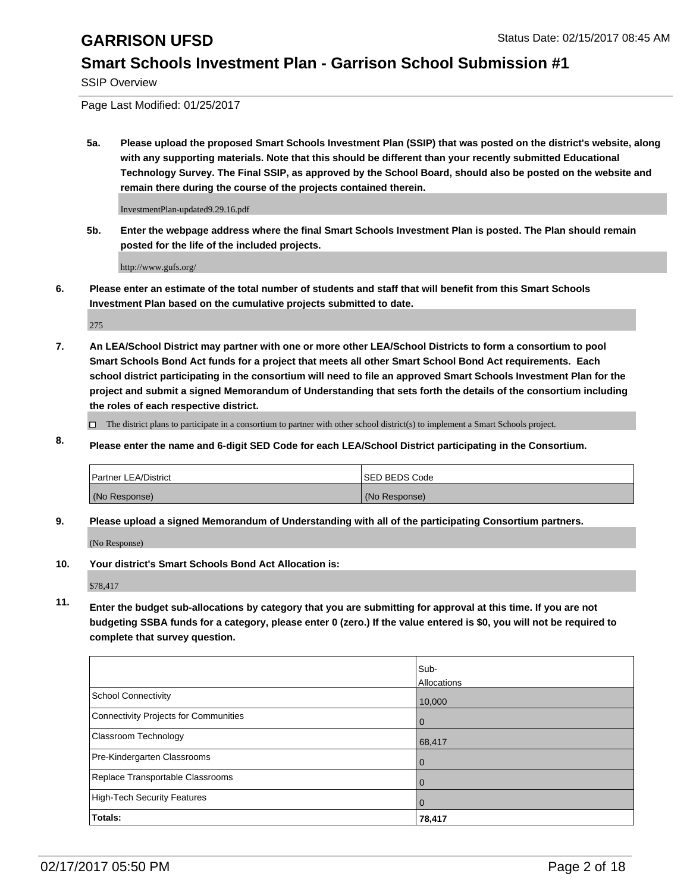SSIP Overview

Page Last Modified: 01/25/2017

**5a. Please upload the proposed Smart Schools Investment Plan (SSIP) that was posted on the district's website, along with any supporting materials. Note that this should be different than your recently submitted Educational Technology Survey. The Final SSIP, as approved by the School Board, should also be posted on the website and remain there during the course of the projects contained therein.**

InvestmentPlan-updated9.29.16.pdf

**5b. Enter the webpage address where the final Smart Schools Investment Plan is posted. The Plan should remain posted for the life of the included projects.**

http://www.gufs.org/

**6. Please enter an estimate of the total number of students and staff that will benefit from this Smart Schools Investment Plan based on the cumulative projects submitted to date.**

275

- **7. An LEA/School District may partner with one or more other LEA/School Districts to form a consortium to pool Smart Schools Bond Act funds for a project that meets all other Smart School Bond Act requirements. Each school district participating in the consortium will need to file an approved Smart Schools Investment Plan for the project and submit a signed Memorandum of Understanding that sets forth the details of the consortium including the roles of each respective district.**
	- $\Box$  The district plans to participate in a consortium to partner with other school district(s) to implement a Smart Schools project.
- **8. Please enter the name and 6-digit SED Code for each LEA/School District participating in the Consortium.**

| <b>Partner LEA/District</b> | <b>ISED BEDS Code</b> |
|-----------------------------|-----------------------|
| (No Response)               | (No Response)         |

**9. Please upload a signed Memorandum of Understanding with all of the participating Consortium partners.**

(No Response)

**10. Your district's Smart Schools Bond Act Allocation is:**

\$78,417

**11. Enter the budget sub-allocations by category that you are submitting for approval at this time. If you are not budgeting SSBA funds for a category, please enter 0 (zero.) If the value entered is \$0, you will not be required to complete that survey question.**

|                                       | Sub-        |
|---------------------------------------|-------------|
|                                       | Allocations |
| <b>School Connectivity</b>            | 10,000      |
| Connectivity Projects for Communities | 0           |
| <b>Classroom Technology</b>           | 68,417      |
| Pre-Kindergarten Classrooms           | $\Omega$    |
| Replace Transportable Classrooms      |             |
| High-Tech Security Features           | O           |
| Totals:                               | 78,417      |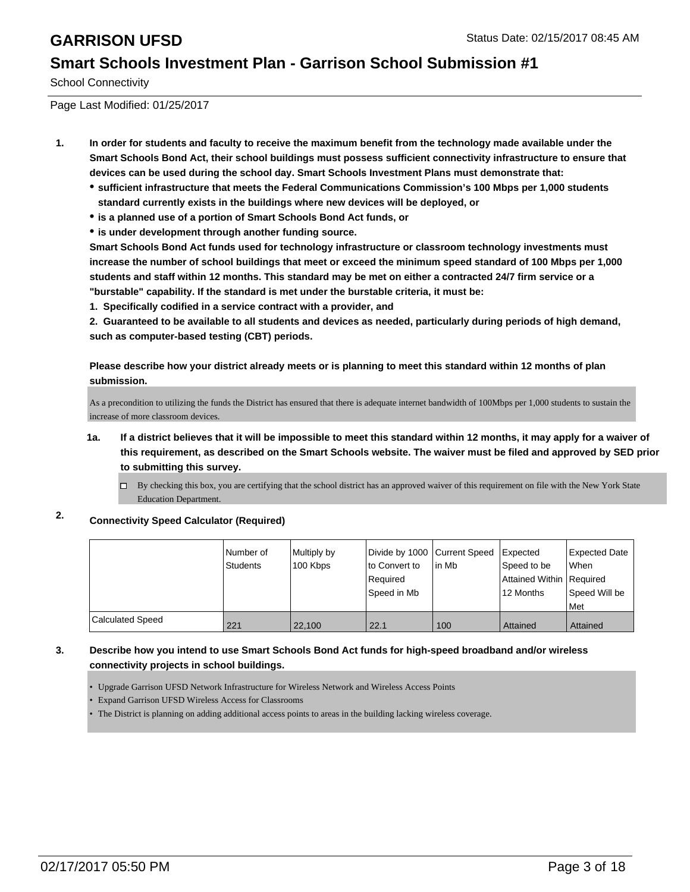School Connectivity

Page Last Modified: 01/25/2017

- **1. In order for students and faculty to receive the maximum benefit from the technology made available under the Smart Schools Bond Act, their school buildings must possess sufficient connectivity infrastructure to ensure that devices can be used during the school day. Smart Schools Investment Plans must demonstrate that:**
	- **sufficient infrastructure that meets the Federal Communications Commission's 100 Mbps per 1,000 students standard currently exists in the buildings where new devices will be deployed, or**
	- **is a planned use of a portion of Smart Schools Bond Act funds, or**
	- **is under development through another funding source.**

**Smart Schools Bond Act funds used for technology infrastructure or classroom technology investments must increase the number of school buildings that meet or exceed the minimum speed standard of 100 Mbps per 1,000 students and staff within 12 months. This standard may be met on either a contracted 24/7 firm service or a "burstable" capability. If the standard is met under the burstable criteria, it must be:**

**1. Specifically codified in a service contract with a provider, and**

**2. Guaranteed to be available to all students and devices as needed, particularly during periods of high demand, such as computer-based testing (CBT) periods.**

**Please describe how your district already meets or is planning to meet this standard within 12 months of plan submission.**

As a precondition to utilizing the funds the District has ensured that there is adequate internet bandwidth of 100Mbps per 1,000 students to sustain the increase of more classroom devices.

- **1a. If a district believes that it will be impossible to meet this standard within 12 months, it may apply for a waiver of this requirement, as described on the Smart Schools website. The waiver must be filed and approved by SED prior to submitting this survey.**
	- By checking this box, you are certifying that the school district has an approved waiver of this requirement on file with the New York State Education Department.

## **2. Connectivity Speed Calculator (Required)**

|                  | l Number of<br>Students | Multiply by<br>100 Kbps | lto Convert to<br>Required<br>Speed in Mb | Divide by 1000 Current Speed Expected<br>l in Mb | Speed to be<br>Attained Within   Required<br>12 Months | Expected Date<br><b>When</b><br>Speed Will be |
|------------------|-------------------------|-------------------------|-------------------------------------------|--------------------------------------------------|--------------------------------------------------------|-----------------------------------------------|
|                  |                         |                         |                                           |                                                  |                                                        | Met                                           |
| Calculated Speed | 221                     | 22,100                  | 22.1                                      | 100                                              | Attained                                               | Attained                                      |

**3. Describe how you intend to use Smart Schools Bond Act funds for high-speed broadband and/or wireless connectivity projects in school buildings.**

• Upgrade Garrison UFSD Network Infrastructure for Wireless Network and Wireless Access Points

• Expand Garrison UFSD Wireless Access for Classrooms

• The District is planning on adding additional access points to areas in the building lacking wireless coverage.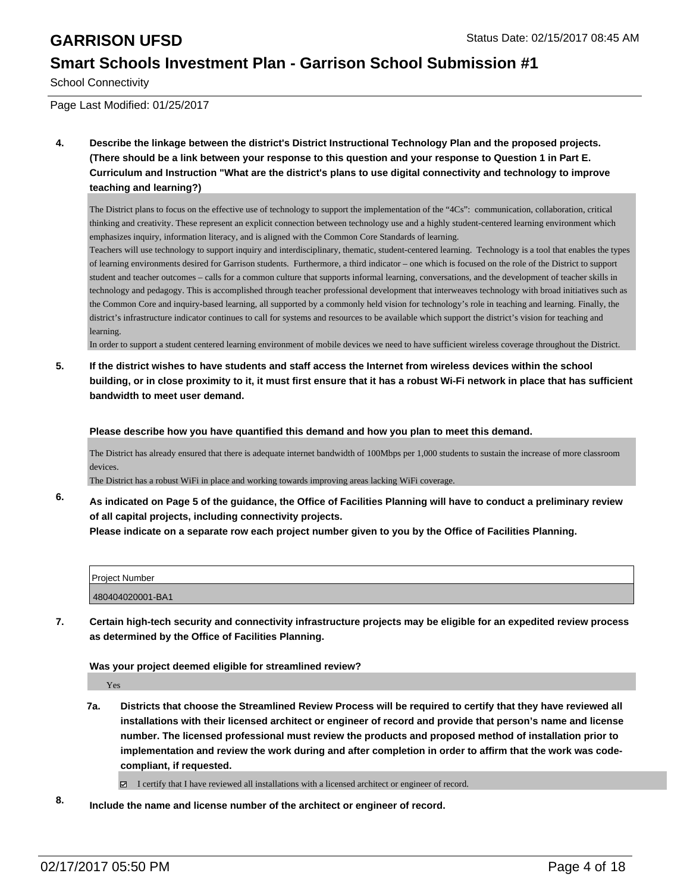School Connectivity

Page Last Modified: 01/25/2017

**4. Describe the linkage between the district's District Instructional Technology Plan and the proposed projects. (There should be a link between your response to this question and your response to Question 1 in Part E. Curriculum and Instruction "What are the district's plans to use digital connectivity and technology to improve teaching and learning?)**

The District plans to focus on the effective use of technology to support the implementation of the "4Cs": communication, collaboration, critical thinking and creativity. These represent an explicit connection between technology use and a highly student-centered learning environment which emphasizes inquiry, information literacy, and is aligned with the Common Core Standards of learning.

Teachers will use technology to support inquiry and interdisciplinary, thematic, student-centered learning. Technology is a tool that enables the types of learning environments desired for Garrison students. Furthermore, a third indicator – one which is focused on the role of the District to support student and teacher outcomes – calls for a common culture that supports informal learning, conversations, and the development of teacher skills in technology and pedagogy. This is accomplished through teacher professional development that interweaves technology with broad initiatives such as the Common Core and inquiry-based learning, all supported by a commonly held vision for technology's role in teaching and learning. Finally, the district's infrastructure indicator continues to call for systems and resources to be available which support the district's vision for teaching and learning.

In order to support a student centered learning environment of mobile devices we need to have sufficient wireless coverage throughout the District.

**5. If the district wishes to have students and staff access the Internet from wireless devices within the school building, or in close proximity to it, it must first ensure that it has a robust Wi-Fi network in place that has sufficient bandwidth to meet user demand.**

**Please describe how you have quantified this demand and how you plan to meet this demand.**

The District has already ensured that there is adequate internet bandwidth of 100Mbps per 1,000 students to sustain the increase of more classroom devices.

The District has a robust WiFi in place and working towards improving areas lacking WiFi coverage.

**6. As indicated on Page 5 of the guidance, the Office of Facilities Planning will have to conduct a preliminary review of all capital projects, including connectivity projects.**

**Please indicate on a separate row each project number given to you by the Office of Facilities Planning.**

| Project Number   |  |
|------------------|--|
| 480404020001-BA1 |  |

**7. Certain high-tech security and connectivity infrastructure projects may be eligible for an expedited review process as determined by the Office of Facilities Planning.**

**Was your project deemed eligible for streamlined review?**

Yes

**7a. Districts that choose the Streamlined Review Process will be required to certify that they have reviewed all installations with their licensed architect or engineer of record and provide that person's name and license number. The licensed professional must review the products and proposed method of installation prior to implementation and review the work during and after completion in order to affirm that the work was codecompliant, if requested.**

I certify that I have reviewed all installations with a licensed architect or engineer of record.

**8. Include the name and license number of the architect or engineer of record.**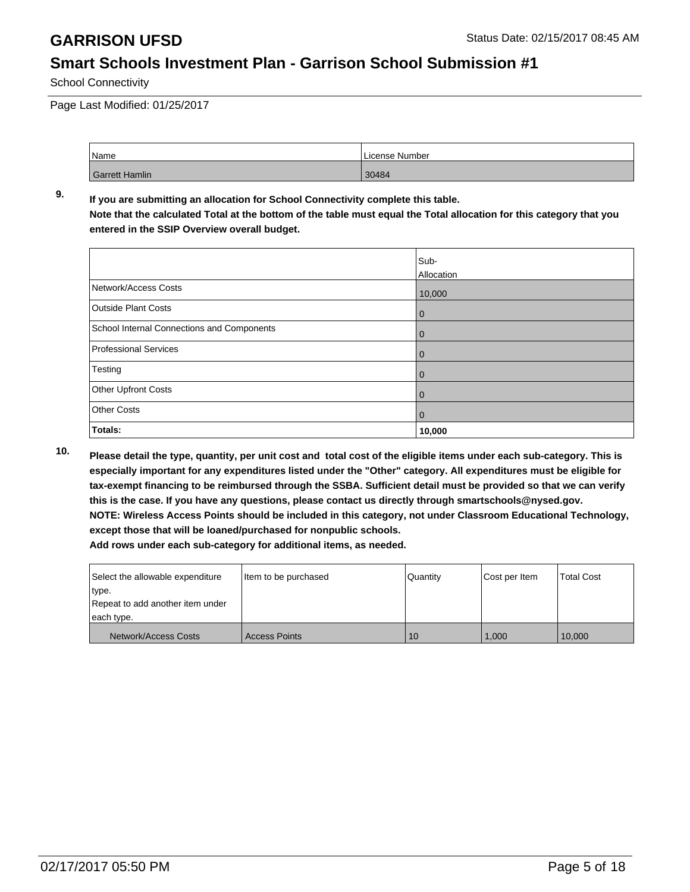School Connectivity

Page Last Modified: 01/25/2017

| Name           | License Number |
|----------------|----------------|
| Garrett Hamlin | 30484          |

## **9. If you are submitting an allocation for School Connectivity complete this table. Note that the calculated Total at the bottom of the table must equal the Total allocation for this category that you entered in the SSIP Overview overall budget.**

|                                            | Sub-<br>Allocation |
|--------------------------------------------|--------------------|
| Network/Access Costs                       | 10,000             |
| <b>Outside Plant Costs</b>                 | $\mathbf 0$        |
| School Internal Connections and Components | O                  |
| Professional Services                      | O                  |
| Testing                                    | Ü                  |
| Other Upfront Costs                        | O                  |
| <b>Other Costs</b>                         | 0                  |
| Totals:                                    | 10,000             |

**10. Please detail the type, quantity, per unit cost and total cost of the eligible items under each sub-category. This is especially important for any expenditures listed under the "Other" category. All expenditures must be eligible for tax-exempt financing to be reimbursed through the SSBA. Sufficient detail must be provided so that we can verify this is the case. If you have any questions, please contact us directly through smartschools@nysed.gov. NOTE: Wireless Access Points should be included in this category, not under Classroom Educational Technology, except those that will be loaned/purchased for nonpublic schools.**

| Select the allowable expenditure | Item to be purchased | <b>Quantity</b> | Cost per Item | <b>Total Cost</b> |
|----------------------------------|----------------------|-----------------|---------------|-------------------|
| type.                            |                      |                 |               |                   |
| Repeat to add another item under |                      |                 |               |                   |
| each type.                       |                      |                 |               |                   |
| Network/Access Costs             | <b>Access Points</b> | 10              | 1.000         | 10.000            |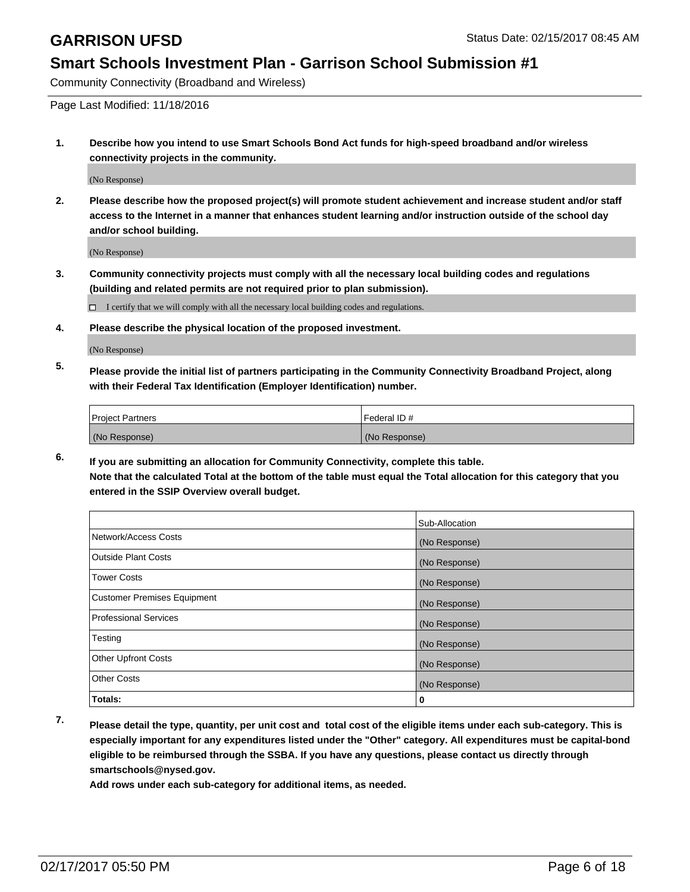Community Connectivity (Broadband and Wireless)

Page Last Modified: 11/18/2016

**1. Describe how you intend to use Smart Schools Bond Act funds for high-speed broadband and/or wireless connectivity projects in the community.**

(No Response)

**2. Please describe how the proposed project(s) will promote student achievement and increase student and/or staff access to the Internet in a manner that enhances student learning and/or instruction outside of the school day and/or school building.**

(No Response)

**3. Community connectivity projects must comply with all the necessary local building codes and regulations (building and related permits are not required prior to plan submission).**

 $\Box$  I certify that we will comply with all the necessary local building codes and regulations.

**4. Please describe the physical location of the proposed investment.**

(No Response)

**5. Please provide the initial list of partners participating in the Community Connectivity Broadband Project, along with their Federal Tax Identification (Employer Identification) number.**

| <b>Project Partners</b> | l Federal ID # |
|-------------------------|----------------|
| (No Response)           | (No Response)  |

**6. If you are submitting an allocation for Community Connectivity, complete this table. Note that the calculated Total at the bottom of the table must equal the Total allocation for this category that you entered in the SSIP Overview overall budget.**

|                                    | Sub-Allocation |
|------------------------------------|----------------|
| Network/Access Costs               | (No Response)  |
| <b>Outside Plant Costs</b>         | (No Response)  |
| <b>Tower Costs</b>                 | (No Response)  |
| <b>Customer Premises Equipment</b> | (No Response)  |
| <b>Professional Services</b>       | (No Response)  |
| Testing                            | (No Response)  |
| <b>Other Upfront Costs</b>         | (No Response)  |
| <b>Other Costs</b>                 | (No Response)  |
| Totals:                            | 0              |

**7. Please detail the type, quantity, per unit cost and total cost of the eligible items under each sub-category. This is especially important for any expenditures listed under the "Other" category. All expenditures must be capital-bond eligible to be reimbursed through the SSBA. If you have any questions, please contact us directly through smartschools@nysed.gov.**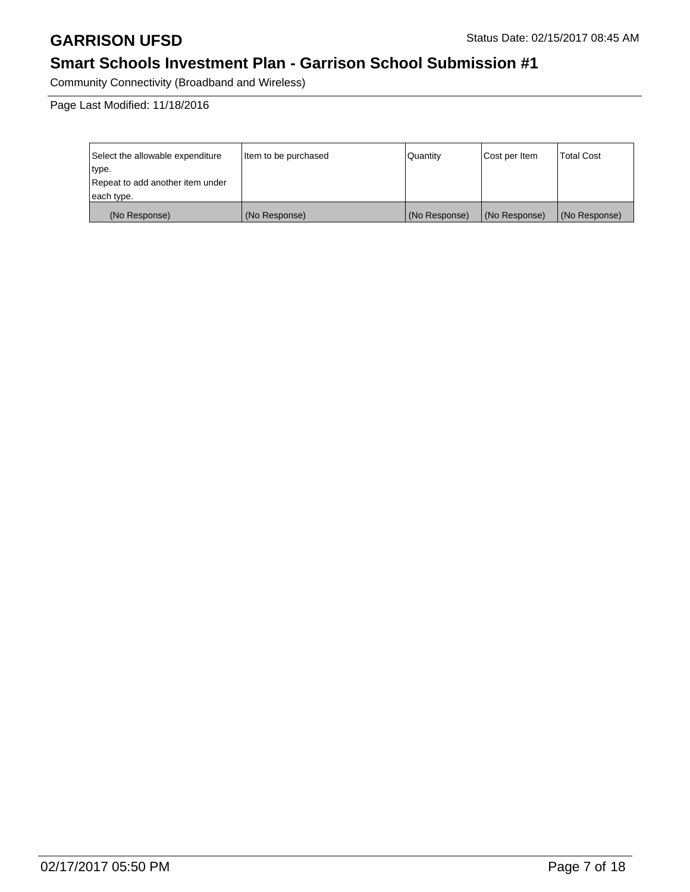Community Connectivity (Broadband and Wireless)

Page Last Modified: 11/18/2016

| Select the allowable expenditure | Item to be purchased | Quantity      | Cost per Item | <b>Total Cost</b> |
|----------------------------------|----------------------|---------------|---------------|-------------------|
| type.                            |                      |               |               |                   |
| Repeat to add another item under |                      |               |               |                   |
| each type.                       |                      |               |               |                   |
| (No Response)                    | (No Response)        | (No Response) | (No Response) | (No Response)     |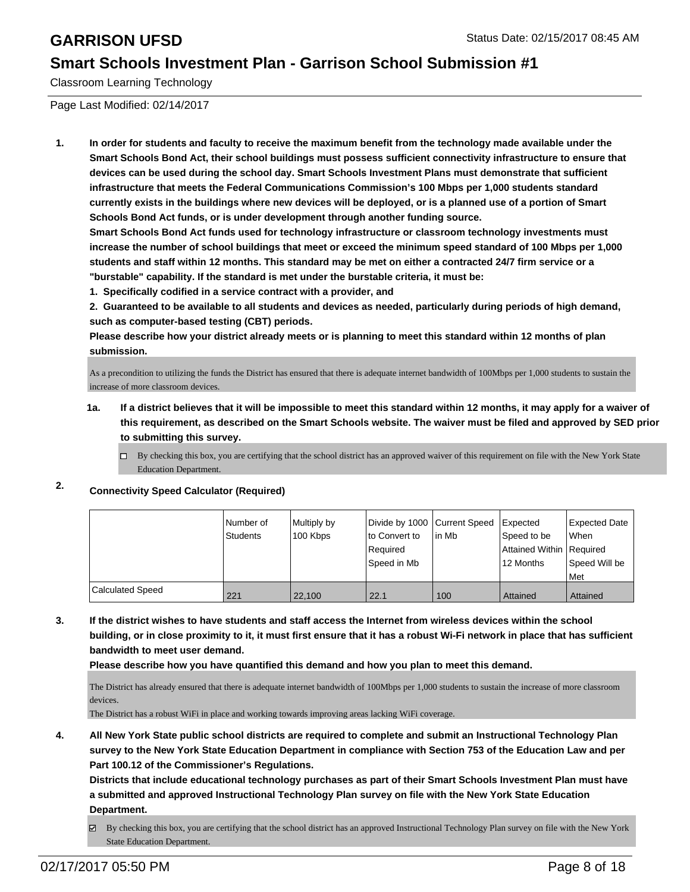Classroom Learning Technology

Page Last Modified: 02/14/2017

**1. In order for students and faculty to receive the maximum benefit from the technology made available under the Smart Schools Bond Act, their school buildings must possess sufficient connectivity infrastructure to ensure that devices can be used during the school day. Smart Schools Investment Plans must demonstrate that sufficient infrastructure that meets the Federal Communications Commission's 100 Mbps per 1,000 students standard currently exists in the buildings where new devices will be deployed, or is a planned use of a portion of Smart Schools Bond Act funds, or is under development through another funding source.**

**Smart Schools Bond Act funds used for technology infrastructure or classroom technology investments must increase the number of school buildings that meet or exceed the minimum speed standard of 100 Mbps per 1,000 students and staff within 12 months. This standard may be met on either a contracted 24/7 firm service or a "burstable" capability. If the standard is met under the burstable criteria, it must be:**

**1. Specifically codified in a service contract with a provider, and**

**2. Guaranteed to be available to all students and devices as needed, particularly during periods of high demand, such as computer-based testing (CBT) periods.**

**Please describe how your district already meets or is planning to meet this standard within 12 months of plan submission.**

As a precondition to utilizing the funds the District has ensured that there is adequate internet bandwidth of 100Mbps per 1,000 students to sustain the increase of more classroom devices.

- **1a. If a district believes that it will be impossible to meet this standard within 12 months, it may apply for a waiver of this requirement, as described on the Smart Schools website. The waiver must be filed and approved by SED prior to submitting this survey.**
	- $\Box$  By checking this box, you are certifying that the school district has an approved waiver of this requirement on file with the New York State Education Department.

## **2. Connectivity Speed Calculator (Required)**

|                  | Number of<br>Students | Multiply by<br>100 Kbps | Divide by 1000 Current Speed<br>Ito Convert to<br>Required<br>lSpeed in Mb | lin Mb | Expected<br>Speed to be<br>Attained Within Required<br>12 Months | Expected Date<br><b>When</b><br>Speed Will be<br>l Met |
|------------------|-----------------------|-------------------------|----------------------------------------------------------------------------|--------|------------------------------------------------------------------|--------------------------------------------------------|
| Calculated Speed | 221                   | 22,100                  | 22.1                                                                       | 100    | Attained                                                         | Attained                                               |

**3. If the district wishes to have students and staff access the Internet from wireless devices within the school building, or in close proximity to it, it must first ensure that it has a robust Wi-Fi network in place that has sufficient bandwidth to meet user demand.**

**Please describe how you have quantified this demand and how you plan to meet this demand.**

The District has already ensured that there is adequate internet bandwidth of 100Mbps per 1,000 students to sustain the increase of more classroom devices.

The District has a robust WiFi in place and working towards improving areas lacking WiFi coverage.

**4. All New York State public school districts are required to complete and submit an Instructional Technology Plan survey to the New York State Education Department in compliance with Section 753 of the Education Law and per Part 100.12 of the Commissioner's Regulations.**

**Districts that include educational technology purchases as part of their Smart Schools Investment Plan must have a submitted and approved Instructional Technology Plan survey on file with the New York State Education Department.**

By checking this box, you are certifying that the school district has an approved Instructional Technology Plan survey on file with the New York 罓 State Education Department.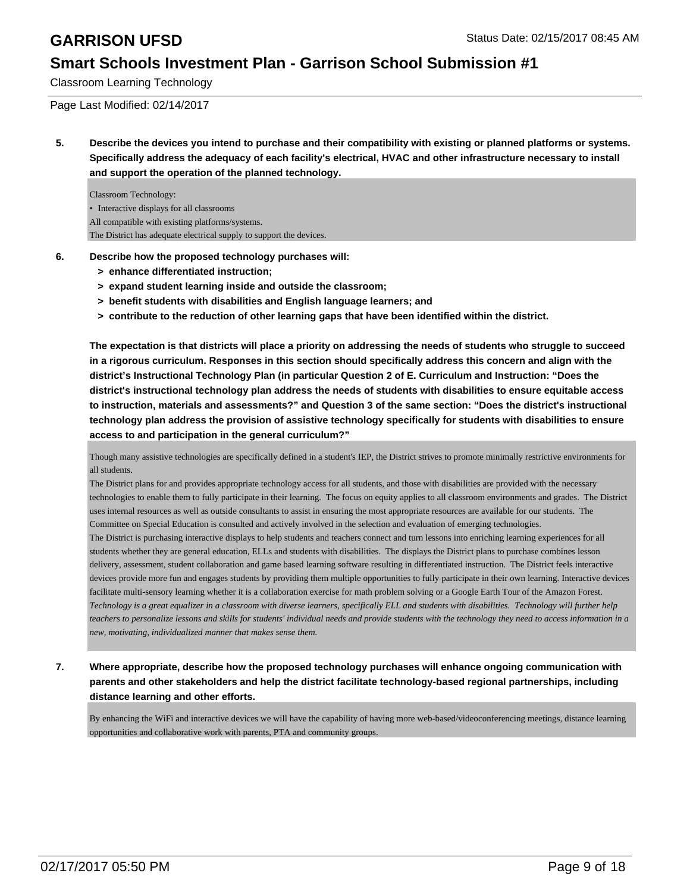Classroom Learning Technology

Page Last Modified: 02/14/2017

**5. Describe the devices you intend to purchase and their compatibility with existing or planned platforms or systems. Specifically address the adequacy of each facility's electrical, HVAC and other infrastructure necessary to install and support the operation of the planned technology.**

Classroom Technology:

- Interactive displays for all classrooms
- All compatible with existing platforms/systems.

The District has adequate electrical supply to support the devices.

## **6. Describe how the proposed technology purchases will:**

- **> enhance differentiated instruction;**
- **> expand student learning inside and outside the classroom;**
- **> benefit students with disabilities and English language learners; and**
- **> contribute to the reduction of other learning gaps that have been identified within the district.**

**The expectation is that districts will place a priority on addressing the needs of students who struggle to succeed in a rigorous curriculum. Responses in this section should specifically address this concern and align with the district's Instructional Technology Plan (in particular Question 2 of E. Curriculum and Instruction: "Does the district's instructional technology plan address the needs of students with disabilities to ensure equitable access to instruction, materials and assessments?" and Question 3 of the same section: "Does the district's instructional technology plan address the provision of assistive technology specifically for students with disabilities to ensure access to and participation in the general curriculum?"**

Though many assistive technologies are specifically defined in a student's IEP, the District strives to promote minimally restrictive environments for all students.

The District plans for and provides appropriate technology access for all students, and those with disabilities are provided with the necessary technologies to enable them to fully participate in their learning. The focus on equity applies to all classroom environments and grades. The District uses internal resources as well as outside consultants to assist in ensuring the most appropriate resources are available for our students. The Committee on Special Education is consulted and actively involved in the selection and evaluation of emerging technologies.

The District is purchasing interactive displays to help students and teachers connect and turn lessons into enriching learning experiences for all students whether they are general education, ELLs and students with disabilities. The displays the District plans to purchase combines lesson delivery, assessment, student collaboration and game based learning software resulting in differentiated instruction. The District feels interactive devices provide more fun and engages students by providing them multiple opportunities to fully participate in their own learning. Interactive devices facilitate multi-sensory learning whether it is a collaboration exercise for math problem solving or a Google Earth Tour of the Amazon Forest. *Technology is a great equalizer in a classroom with diverse learners, specifically ELL and students with disabilities. Technology will further help teachers to personalize lessons and skills for students' individual needs and provide students with the technology they need to access information in a new, motivating, individualized manner that makes sense them.*

**7. Where appropriate, describe how the proposed technology purchases will enhance ongoing communication with parents and other stakeholders and help the district facilitate technology-based regional partnerships, including distance learning and other efforts.**

By enhancing the WiFi and interactive devices we will have the capability of having more web-based/videoconferencing meetings, distance learning opportunities and collaborative work with parents, PTA and community groups.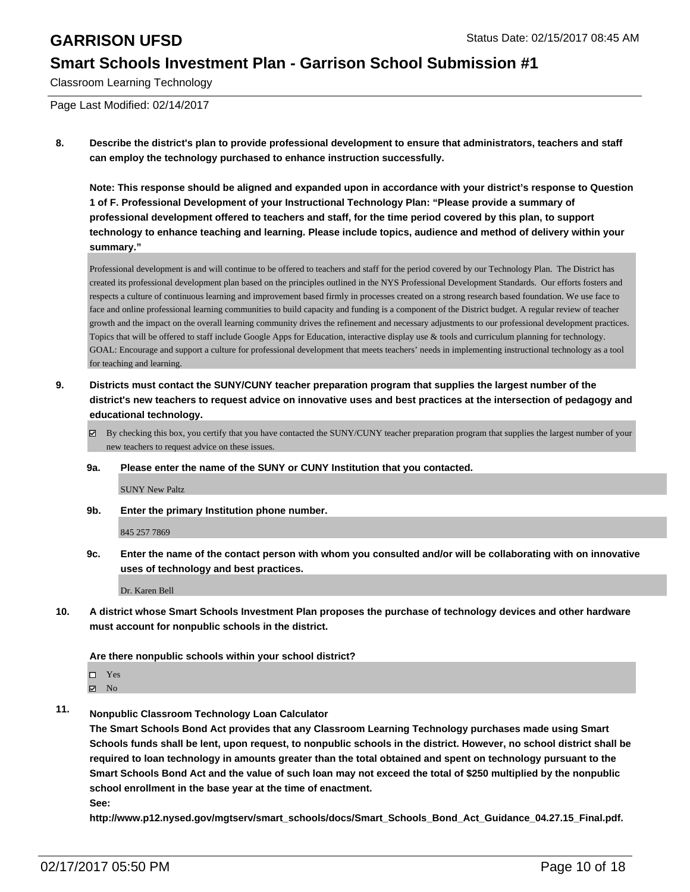Classroom Learning Technology

Page Last Modified: 02/14/2017

**8. Describe the district's plan to provide professional development to ensure that administrators, teachers and staff can employ the technology purchased to enhance instruction successfully.**

**Note: This response should be aligned and expanded upon in accordance with your district's response to Question 1 of F. Professional Development of your Instructional Technology Plan: "Please provide a summary of professional development offered to teachers and staff, for the time period covered by this plan, to support technology to enhance teaching and learning. Please include topics, audience and method of delivery within your summary."**

Professional development is and will continue to be offered to teachers and staff for the period covered by our Technology Plan. The District has created its professional development plan based on the principles outlined in the NYS Professional Development Standards. Our efforts fosters and respects a culture of continuous learning and improvement based firmly in processes created on a strong research based foundation. We use face to face and online professional learning communities to build capacity and funding is a component of the District budget. A regular review of teacher growth and the impact on the overall learning community drives the refinement and necessary adjustments to our professional development practices. Topics that will be offered to staff include Google Apps for Education, interactive display use & tools and curriculum planning for technology. GOAL: Encourage and support a culture for professional development that meets teachers' needs in implementing instructional technology as a tool for teaching and learning.

- **9. Districts must contact the SUNY/CUNY teacher preparation program that supplies the largest number of the district's new teachers to request advice on innovative uses and best practices at the intersection of pedagogy and educational technology.**
	- $\boxtimes$  By checking this box, you certify that you have contacted the SUNY/CUNY teacher preparation program that supplies the largest number of your new teachers to request advice on these issues.
	- **9a. Please enter the name of the SUNY or CUNY Institution that you contacted.**

SUNY New Paltz

**9b. Enter the primary Institution phone number.**

845 257 7869

**9c. Enter the name of the contact person with whom you consulted and/or will be collaborating with on innovative uses of technology and best practices.**

Dr. Karen Bell

**10. A district whose Smart Schools Investment Plan proposes the purchase of technology devices and other hardware must account for nonpublic schools in the district.**

**Are there nonpublic schools within your school district?**

Yes

 $\boxtimes$  No

**11. Nonpublic Classroom Technology Loan Calculator**

**The Smart Schools Bond Act provides that any Classroom Learning Technology purchases made using Smart Schools funds shall be lent, upon request, to nonpublic schools in the district. However, no school district shall be required to loan technology in amounts greater than the total obtained and spent on technology pursuant to the Smart Schools Bond Act and the value of such loan may not exceed the total of \$250 multiplied by the nonpublic school enrollment in the base year at the time of enactment.**

**See:**

**http://www.p12.nysed.gov/mgtserv/smart\_schools/docs/Smart\_Schools\_Bond\_Act\_Guidance\_04.27.15\_Final.pdf.**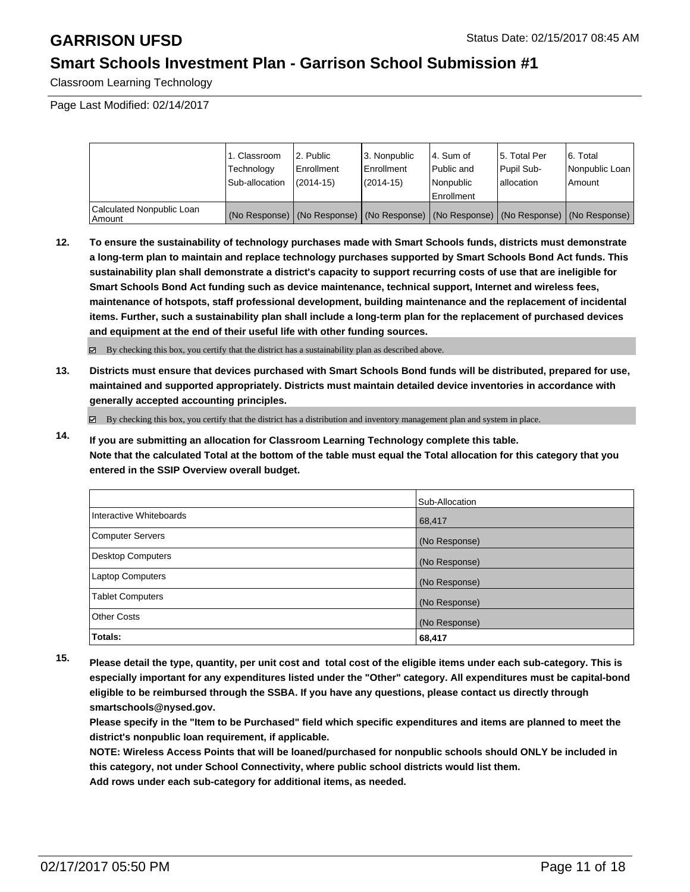Classroom Learning Technology

Page Last Modified: 02/14/2017

|                                     | 1. Classroom<br>Technology<br>Sub-allocation | 2. Public<br>Enrollment<br>$(2014 - 15)$ | l 3. Nonpublic<br>l Enrollment<br>$(2014 - 15)$ | l 4. Sum of<br>l Public and<br>l Nonpublic<br>Enrollment                                      | 5. Total Per<br>Pupil Sub-<br>lallocation | 6. Total<br>Nonpublic Loan<br>Amount |
|-------------------------------------|----------------------------------------------|------------------------------------------|-------------------------------------------------|-----------------------------------------------------------------------------------------------|-------------------------------------------|--------------------------------------|
| Calculated Nonpublic Loan<br>Amount |                                              |                                          |                                                 | (No Response)   (No Response)   (No Response)   (No Response)   (No Response)   (No Response) |                                           |                                      |

**12. To ensure the sustainability of technology purchases made with Smart Schools funds, districts must demonstrate a long-term plan to maintain and replace technology purchases supported by Smart Schools Bond Act funds. This sustainability plan shall demonstrate a district's capacity to support recurring costs of use that are ineligible for Smart Schools Bond Act funding such as device maintenance, technical support, Internet and wireless fees, maintenance of hotspots, staff professional development, building maintenance and the replacement of incidental items. Further, such a sustainability plan shall include a long-term plan for the replacement of purchased devices and equipment at the end of their useful life with other funding sources.**

By checking this box, you certify that the district has a sustainability plan as described above.

**13. Districts must ensure that devices purchased with Smart Schools Bond funds will be distributed, prepared for use, maintained and supported appropriately. Districts must maintain detailed device inventories in accordance with generally accepted accounting principles.**

 $\boxtimes$  By checking this box, you certify that the district has a distribution and inventory management plan and system in place.

**14. If you are submitting an allocation for Classroom Learning Technology complete this table. Note that the calculated Total at the bottom of the table must equal the Total allocation for this category that you entered in the SSIP Overview overall budget.**

|                         | Sub-Allocation |
|-------------------------|----------------|
| Interactive Whiteboards | 68,417         |
| Computer Servers        | (No Response)  |
| Desktop Computers       | (No Response)  |
| Laptop Computers        | (No Response)  |
| <b>Tablet Computers</b> | (No Response)  |
| <b>Other Costs</b>      | (No Response)  |
| Totals:                 | 68,417         |

**15. Please detail the type, quantity, per unit cost and total cost of the eligible items under each sub-category. This is especially important for any expenditures listed under the "Other" category. All expenditures must be capital-bond eligible to be reimbursed through the SSBA. If you have any questions, please contact us directly through smartschools@nysed.gov.**

**Please specify in the "Item to be Purchased" field which specific expenditures and items are planned to meet the district's nonpublic loan requirement, if applicable.**

**NOTE: Wireless Access Points that will be loaned/purchased for nonpublic schools should ONLY be included in this category, not under School Connectivity, where public school districts would list them.**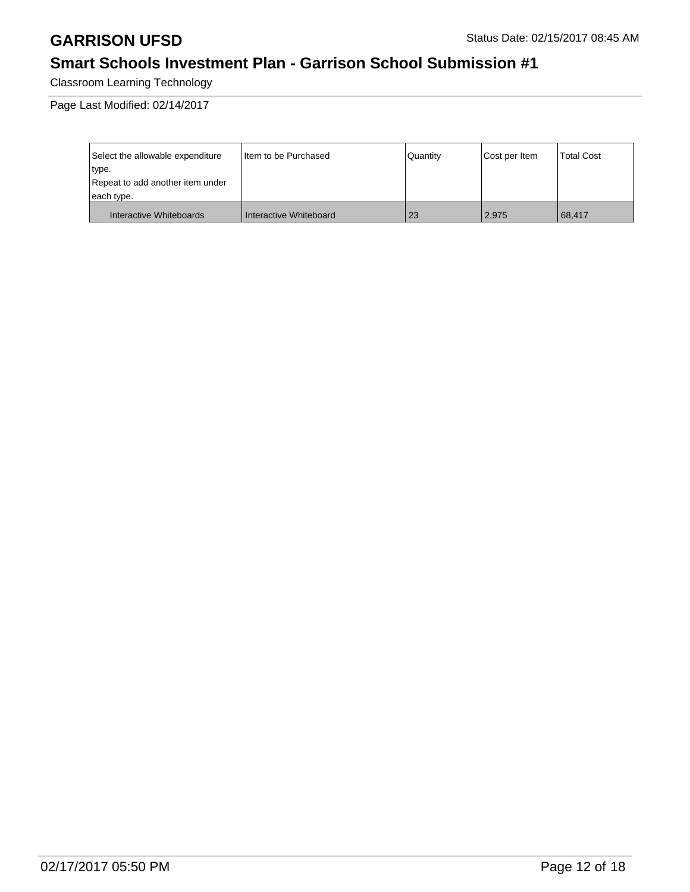Classroom Learning Technology

Page Last Modified: 02/14/2017

| Select the allowable expenditure | Item to be Purchased   | Quantity | Cost per Item | <b>Total Cost</b> |
|----------------------------------|------------------------|----------|---------------|-------------------|
| type.                            |                        |          |               |                   |
| Repeat to add another item under |                        |          |               |                   |
| each type.                       |                        |          |               |                   |
| Interactive Whiteboards          | Interactive Whiteboard | 23       | 2,975         | 68,417            |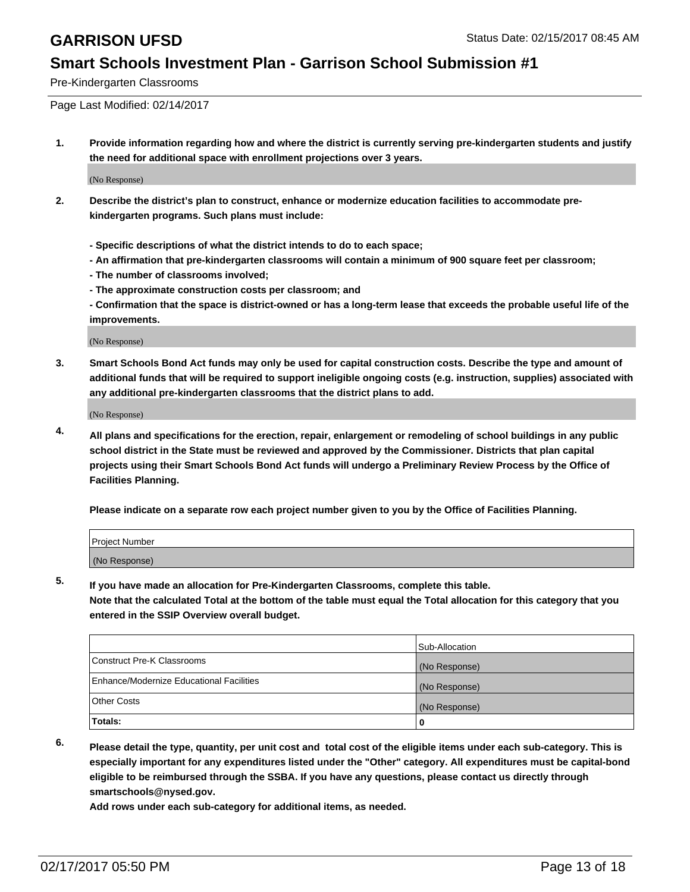Pre-Kindergarten Classrooms

Page Last Modified: 02/14/2017

**1. Provide information regarding how and where the district is currently serving pre-kindergarten students and justify the need for additional space with enrollment projections over 3 years.**

(No Response)

- **2. Describe the district's plan to construct, enhance or modernize education facilities to accommodate prekindergarten programs. Such plans must include:**
	- **Specific descriptions of what the district intends to do to each space;**
	- **An affirmation that pre-kindergarten classrooms will contain a minimum of 900 square feet per classroom;**
	- **The number of classrooms involved;**
	- **The approximate construction costs per classroom; and**
	- **Confirmation that the space is district-owned or has a long-term lease that exceeds the probable useful life of the improvements.**

(No Response)

**3. Smart Schools Bond Act funds may only be used for capital construction costs. Describe the type and amount of additional funds that will be required to support ineligible ongoing costs (e.g. instruction, supplies) associated with any additional pre-kindergarten classrooms that the district plans to add.**

(No Response)

**4. All plans and specifications for the erection, repair, enlargement or remodeling of school buildings in any public school district in the State must be reviewed and approved by the Commissioner. Districts that plan capital projects using their Smart Schools Bond Act funds will undergo a Preliminary Review Process by the Office of Facilities Planning.**

**Please indicate on a separate row each project number given to you by the Office of Facilities Planning.**

| Project Number |  |  |
|----------------|--|--|
| (No Response)  |  |  |

**5. If you have made an allocation for Pre-Kindergarten Classrooms, complete this table.**

**Note that the calculated Total at the bottom of the table must equal the Total allocation for this category that you entered in the SSIP Overview overall budget.**

|                                          | Sub-Allocation |
|------------------------------------------|----------------|
| Construct Pre-K Classrooms               | (No Response)  |
| Enhance/Modernize Educational Facilities | (No Response)  |
| Other Costs                              | (No Response)  |
| Totals:                                  |                |

**6. Please detail the type, quantity, per unit cost and total cost of the eligible items under each sub-category. This is especially important for any expenditures listed under the "Other" category. All expenditures must be capital-bond eligible to be reimbursed through the SSBA. If you have any questions, please contact us directly through smartschools@nysed.gov.**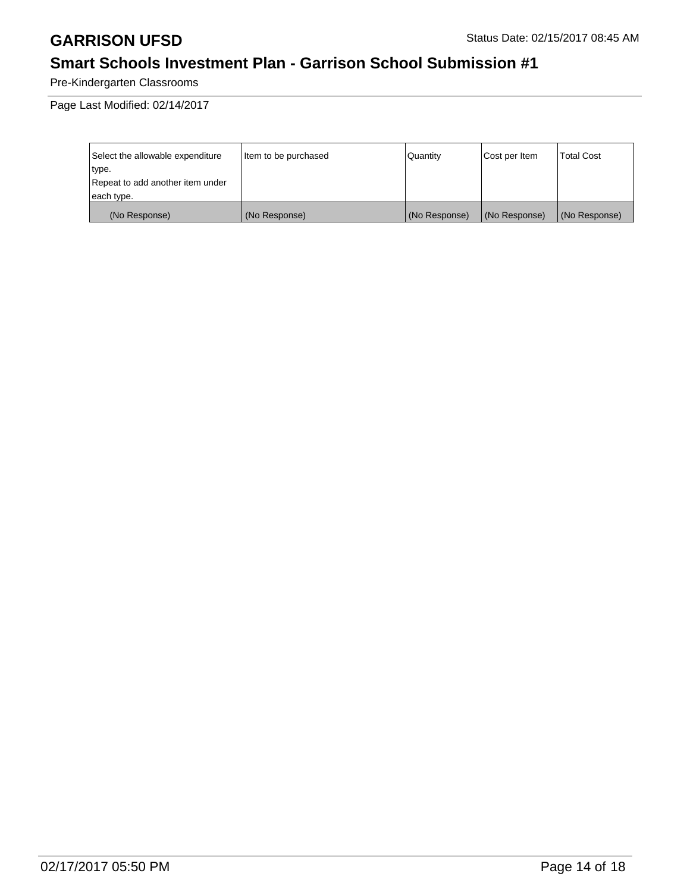# **GARRISON UFSD** Status Date: 02/15/2017 08:45 AM

# **Smart Schools Investment Plan - Garrison School Submission #1**

Pre-Kindergarten Classrooms

Page Last Modified: 02/14/2017

| Select the allowable expenditure | litem to be purchased | Quantity      | Cost per Item | <b>Total Cost</b> |
|----------------------------------|-----------------------|---------------|---------------|-------------------|
| type.                            |                       |               |               |                   |
| Repeat to add another item under |                       |               |               |                   |
| each type.                       |                       |               |               |                   |
| (No Response)                    | (No Response)         | (No Response) | (No Response) | (No Response)     |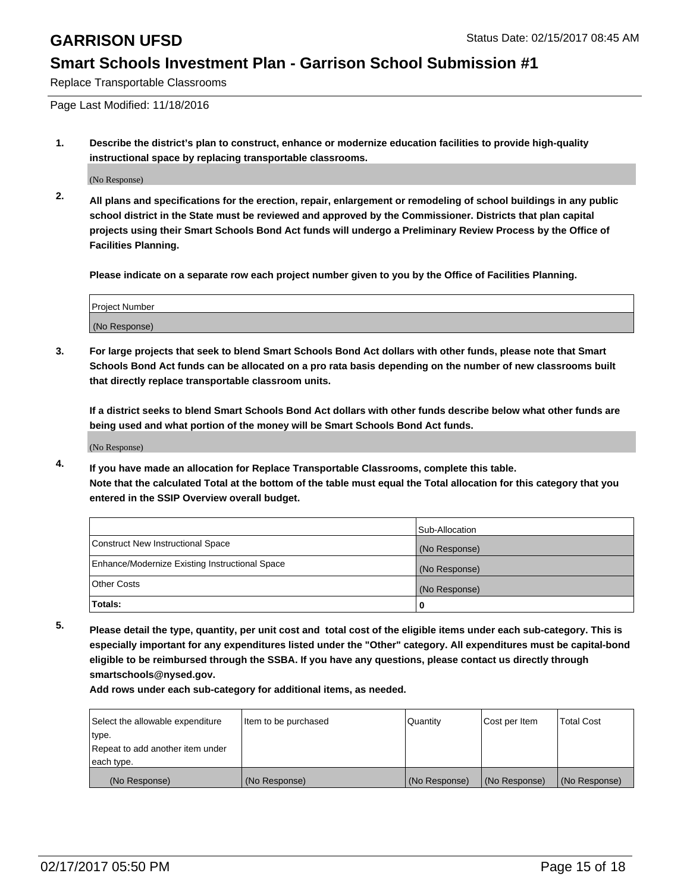Replace Transportable Classrooms

Page Last Modified: 11/18/2016

**1. Describe the district's plan to construct, enhance or modernize education facilities to provide high-quality instructional space by replacing transportable classrooms.**

(No Response)

**2. All plans and specifications for the erection, repair, enlargement or remodeling of school buildings in any public school district in the State must be reviewed and approved by the Commissioner. Districts that plan capital projects using their Smart Schools Bond Act funds will undergo a Preliminary Review Process by the Office of Facilities Planning.**

**Please indicate on a separate row each project number given to you by the Office of Facilities Planning.**

| <b>Project Number</b> |  |
|-----------------------|--|
| (No Response)         |  |

**3. For large projects that seek to blend Smart Schools Bond Act dollars with other funds, please note that Smart Schools Bond Act funds can be allocated on a pro rata basis depending on the number of new classrooms built that directly replace transportable classroom units.**

**If a district seeks to blend Smart Schools Bond Act dollars with other funds describe below what other funds are being used and what portion of the money will be Smart Schools Bond Act funds.**

(No Response)

**4. If you have made an allocation for Replace Transportable Classrooms, complete this table. Note that the calculated Total at the bottom of the table must equal the Total allocation for this category that you entered in the SSIP Overview overall budget.**

|                                                | Sub-Allocation |
|------------------------------------------------|----------------|
| Construct New Instructional Space              | (No Response)  |
| Enhance/Modernize Existing Instructional Space | (No Response)  |
| <b>Other Costs</b>                             | (No Response)  |
| Totals:                                        |                |

**5. Please detail the type, quantity, per unit cost and total cost of the eligible items under each sub-category. This is especially important for any expenditures listed under the "Other" category. All expenditures must be capital-bond eligible to be reimbursed through the SSBA. If you have any questions, please contact us directly through smartschools@nysed.gov.**

| Select the allowable expenditure | Item to be purchased | Quantity      | Cost per Item | <b>Total Cost</b> |
|----------------------------------|----------------------|---------------|---------------|-------------------|
| type.                            |                      |               |               |                   |
| Repeat to add another item under |                      |               |               |                   |
| each type.                       |                      |               |               |                   |
| (No Response)                    | (No Response)        | (No Response) | (No Response) | (No Response)     |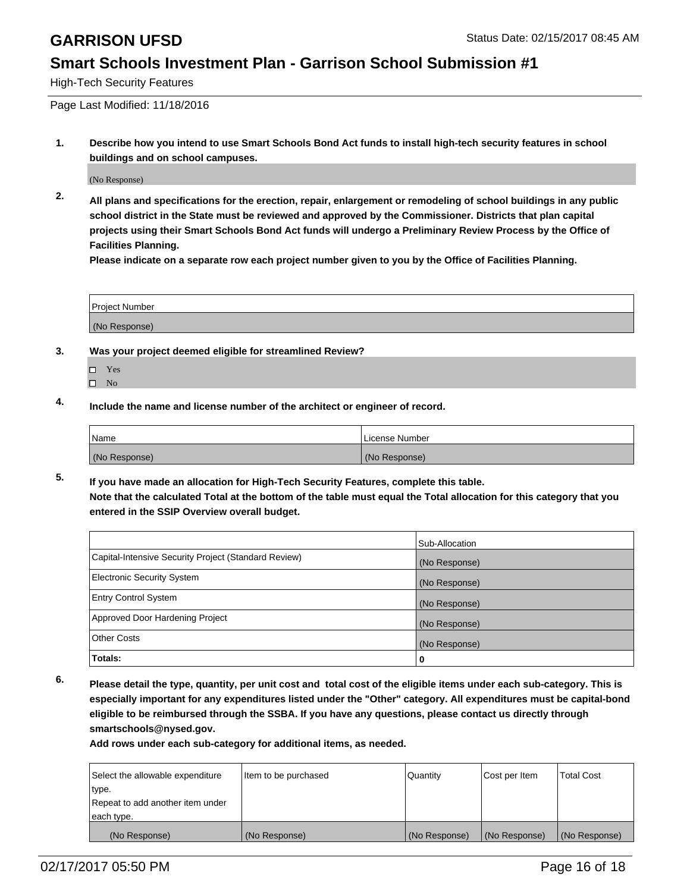High-Tech Security Features

Page Last Modified: 11/18/2016

**1. Describe how you intend to use Smart Schools Bond Act funds to install high-tech security features in school buildings and on school campuses.**

(No Response)

**2. All plans and specifications for the erection, repair, enlargement or remodeling of school buildings in any public school district in the State must be reviewed and approved by the Commissioner. Districts that plan capital projects using their Smart Schools Bond Act funds will undergo a Preliminary Review Process by the Office of Facilities Planning.** 

**Please indicate on a separate row each project number given to you by the Office of Facilities Planning.**

| Project Number |  |
|----------------|--|
| (No Response)  |  |

- **3. Was your project deemed eligible for streamlined Review?**
	- Yes
	- $\square$  No
- **4. Include the name and license number of the architect or engineer of record.**

| 'Name         | License Number |
|---------------|----------------|
| (No Response) | (No Response)  |

**5. If you have made an allocation for High-Tech Security Features, complete this table. Note that the calculated Total at the bottom of the table must equal the Total allocation for this category that you entered in the SSIP Overview overall budget.**

|                                                      | Sub-Allocation |
|------------------------------------------------------|----------------|
| Capital-Intensive Security Project (Standard Review) | (No Response)  |
| <b>Electronic Security System</b>                    | (No Response)  |
| <b>Entry Control System</b>                          | (No Response)  |
| Approved Door Hardening Project                      | (No Response)  |
| <b>Other Costs</b>                                   | (No Response)  |
| Totals:                                              | 0              |

**6. Please detail the type, quantity, per unit cost and total cost of the eligible items under each sub-category. This is especially important for any expenditures listed under the "Other" category. All expenditures must be capital-bond eligible to be reimbursed through the SSBA. If you have any questions, please contact us directly through smartschools@nysed.gov.**

| Select the allowable expenditure | Item to be purchased | Quantity      | Cost per Item | <b>Total Cost</b> |
|----------------------------------|----------------------|---------------|---------------|-------------------|
| type.                            |                      |               |               |                   |
| Repeat to add another item under |                      |               |               |                   |
| each type.                       |                      |               |               |                   |
| (No Response)                    | (No Response)        | (No Response) | (No Response) | (No Response)     |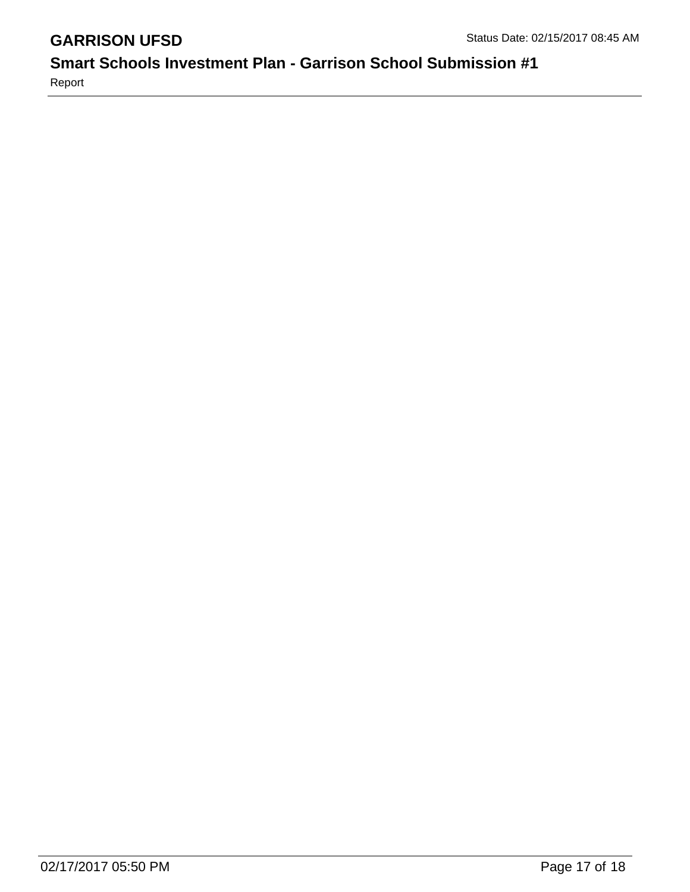Report